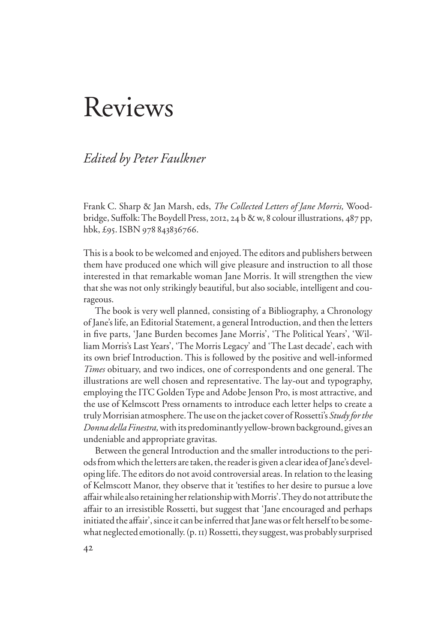## Reviews

## *Edited by Peter Faulkner*

Frank C. Sharp & Jan Marsh, eds, *The Collected Letters of Jane Morris,* Woodbridge, Suffolk: The Boydell Press, 2012, 24 b & w, 8 colour illustrations, 487 pp, hbk, £95. ISBN 978 843836766.

This is a book to be welcomed and enjoyed. The editors and publishers between them have produced one which will give pleasure and instruction to all those interested in that remarkable woman Jane Morris. It will strengthen the view that she was not only strikingly beautiful, but also sociable, intelligent and courageous.

The book is very well planned, consisting of a Bibliography, a Chronology of Jane's life, an Editorial Statement, a general Introduction, and then the letters in five parts, 'Jane Burden becomes Jane Morris', 'The Political Years', 'William Morris's Last Years', 'The Morris Legacy' and 'The Last decade', each with its own brief Introduction. This is followed by the positive and well-informed *Times* obituary, and two indices, one of correspondents and one general. The illustrations are well chosen and representative. The lay-out and typography, employing the ITC Golden Type and Adobe Jenson Pro, is most attractive, and the use of Kelmscott Press ornaments to introduce each letter helps to create a truly Morrisian atmosphere. The use on the jacket cover of Rossetti's *Study for the Donna della Finestra,* with its predominantly yellow-brown background, gives an undeniable and appropriate gravitas.

Between the general Introduction and the smaller introductions to the periods from which the letters are taken, the reader is given a clear idea of Jane's developing life. The editors do not avoid controversial areas. In relation to the leasing of Kelmscott Manor, they observe that it 'testifies to her desire to pursue a love affair while also retaining her relationship with Morris'. They do not attribute the affair to an irresistible Rossetti, but suggest that 'Jane encouraged and perhaps initiated the affair', since it can be inferred that Jane was or felt herself to be somewhat neglected emotionally. (p. 11) Rossetti, they suggest, was probably surprised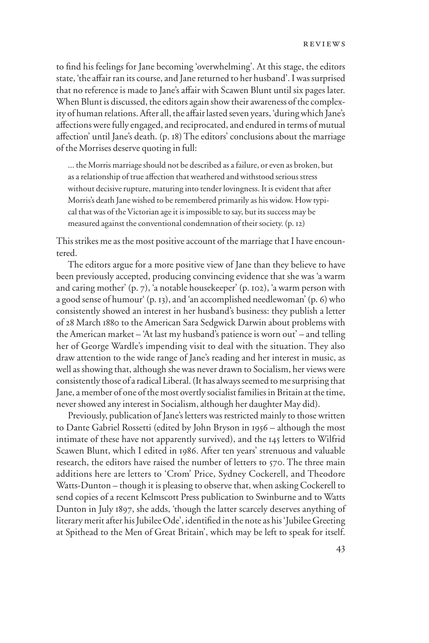to find his feelings for Jane becoming 'overwhelming'. At this stage, the editors state, 'the affair ran its course, and Jane returned to her husband'. I was surprised that no reference is made to Jane's affair with Scawen Blunt until six pages later. When Blunt is discussed, the editors again show their awareness of the complexity of human relations. After all, the affair lasted seven years, 'during which Jane's affections were fully engaged, and reciprocated, and endured in terms of mutual affection' until Jane's death. (p. 18) The editors' conclusions about the marriage of the Morrises deserve quoting in full:

... the Morris marriage should not be described as a failure, or even as broken, but as a relationship of true affection that weathered and withstood serious stress without decisive rupture, maturing into tender lovingness. It is evident that after Morris's death Jane wished to be remembered primarily as his widow. How typical that was of the Victorian age it is impossible to say, but its success may be measured against the conventional condemnation of their society. (p. 12)

This strikes me as the most positive account of the marriage that I have encountered.

The editors argue for a more positive view of Jane than they believe to have been previously accepted, producing convincing evidence that she was 'a warm and caring mother' (p. 7), 'a notable housekeeper' (p. 102), 'a warm person with a good sense of humour' (p. 13), and 'an accomplished needlewoman' (p. 6) who consistently showed an interest in her husband's business: they publish a letter of 28 March 1880 to the American Sara Sedgwick Darwin about problems with the American market – 'At last my husband's patience is worn out' – and telling her of George Wardle's impending visit to deal with the situation. They also draw attention to the wide range of Jane's reading and her interest in music, as well as showing that, although she was never drawn to Socialism, her views were consistently those of a radical Liberal. (It has always seemed to me surprising that Jane, a member of one of the most overtly socialist families in Britain at the time, never showed any interest in Socialism, although her daughter May did).

Previously, publication of Jane's letters was restricted mainly to those written to Dante Gabriel Rossetti (edited by John Bryson in 1956 – although the most intimate of these have not apparently survived), and the 145 letters to Wilfrid Scawen Blunt, which I edited in 1986. After ten years' strenuous and valuable research, the editors have raised the number of letters to 570. The three main additions here are letters to 'Crom' Price, Sydney Cockerell, and Theodore Watts-Dunton – though it is pleasing to observe that, when asking Cockerell to send copies of a recent Kelmscott Press publication to Swinburne and to Watts Dunton in July 1897, she adds, 'though the latter scarcely deserves anything of literary merit after his Jubilee Ode', identified in the note as his 'Jubilee Greeting at Spithead to the Men of Great Britain', which may be left to speak for itself.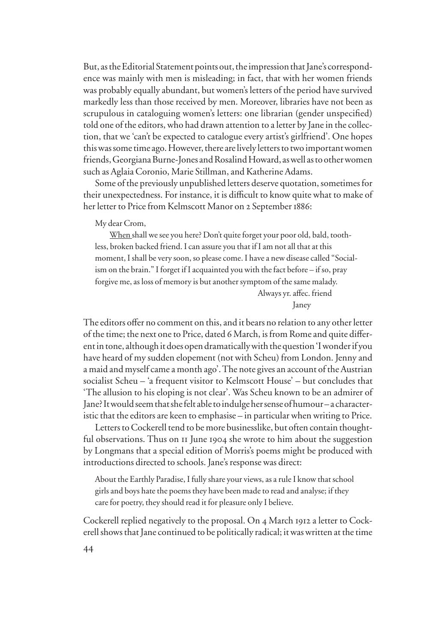But, as the Editorial Statement points out, the impression that Jane's correspondence was mainly with men is misleading; in fact, that with her women friends was probably equally abundant, but women's letters of the period have survived markedly less than those received by men. Moreover, libraries have not been as scrupulous in cataloguing women's letters: one librarian (gender unspecified) told one of the editors, who had drawn attention to a letter by Jane in the collection, that we 'can't be expected to catalogue every artist's girlfriend'. One hopes this was some time ago. However, there are lively letters to two important women friends, Georgiana Burne-Jones and Rosalind Howard, as well as to other women such as Aglaia Coronio, Marie Stillman, and Katherine Adams.

Some of the previously unpublished letters deserve quotation, sometimes for their unexpectedness. For instance, it is difficult to know quite what to make of her letter to Price from Kelmscott Manor on 2 September 1886:

My dear Crom,

When shall we see you here? Don't quite forget your poor old, bald, toothless, broken backed friend. I can assure you that if I am not all that at this moment, I shall be very soon, so please come. I have a new disease called "Socialism on the brain." I forget if I acquainted you with the fact before – if so, pray forgive me, as loss of memory is but another symptom of the same malady. Always yr. affec. friend

Janey

The editors offer no comment on this, and it bears no relation to any other letter of the time; the next one to Price, dated 6 March, is from Rome and quite different in tone, although it does open dramatically with the question 'I wonder if you have heard of my sudden elopement (not with Scheu) from London. Jenny and a maid and myself came a month ago'. The note gives an account of the Austrian socialist Scheu – 'a frequent visitor to Kelmscott House' – but concludes that 'The allusion to his eloping is not clear'. Was Scheu known to be an admirer of Jane? It would seem that she felt able to indulge her sense of humour – a characteristic that the editors are keen to emphasise – in particular when writing to Price.

Letters to Cockerell tend to be more businesslike, but often contain thoughtful observations. Thus on 11 June 1904 she wrote to him about the suggestion by Longmans that a special edition of Morris's poems might be produced with introductions directed to schools. Jane's response was direct:

About the Earthly Paradise, I fully share your views, as a rule I know that school girls and boys hate the poems they have been made to read and analyse; if they care for poetry, they should read it for pleasure only I believe.

Cockerell replied negatively to the proposal. On 4 March 1912 a letter to Cockerell shows that Jane continued to be politically radical; it was written at the time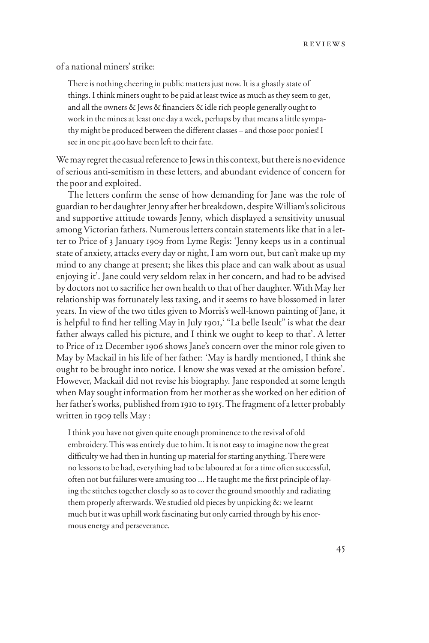of a national miners' strike:

There is nothing cheering in public matters just now. It is a ghastly state of things. I think miners ought to be paid at least twice as much as they seem to get, and all the owners  $\&$  Jews  $\&$  financiers  $\&$  idle rich people generally ought to work in the mines at least one day a week, perhaps by that means a little sympathy might be produced between the different classes - and those poor ponies! I see in one pit 400 have been left to their fate.

We may regret the casual reference to Jews in this context, but there is no evidence of serious anti-semitism in these letters, and abundant evidence of concern for the poor and exploited.

The letters confirm the sense of how demanding for Jane was the role of guardian to her daughter Jenny after her breakdown, despite William's solicitous and supportive attitude towards Jenny, which displayed a sensitivity unusual among Victorian fathers. Numerous letters contain statements like that in a letter to Price of 3 January 1909 from Lyme Regis: 'Jenny keeps us in a continual state of anxiety, attacks every day or night, I am worn out, but can't make up my mind to any change at present; she likes this place and can walk about as usual enjoying it'. Jane could very seldom relax in her concern, and had to be advised by doctors not to sacrifice her own health to that of her daughter. With May her relationship was fortunately less taxing, and it seems to have blossomed in later years. In view of the two titles given to Morris's well-known painting of Jane, it is helpful to find her telling May in July 1901, "La belle Iseult" is what the dear father always called his picture, and I think we ought to keep to that'. A letter to Price of 12 December 1906 shows Jane's concern over the minor role given to May by Mackail in his life of her father: 'May is hardly mentioned, I think she ought to be brought into notice. I know she was vexed at the omission before'. However, Mackail did not revise his biography. Jane responded at some length when May sought information from her mother as she worked on her edition of her father's works, published from 1910 to 1915. The fragment of a letter probably written in 1909 tells May :

I think you have not given quite enough prominence to the revival of old embroidery. This was entirely due to him. It is not easy to imagine now the great difficulty we had then in hunting up material for starting anything. There were no lessons to be had, everything had to be laboured at for a time often successful, often not but failures were amusing too ... He taught me the first principle of laying the stitches together closely so as to cover the ground smoothly and radiating them properly afterwards. We studied old pieces by unpicking &: we learnt much but it was uphill work fascinating but only carried through by his enormous energy and perseverance.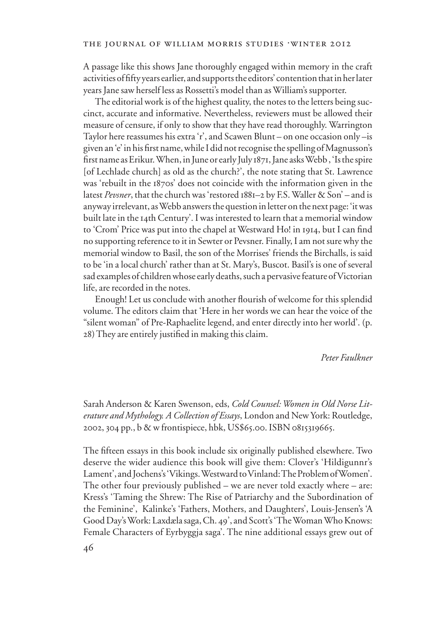A passage like this shows Jane thoroughly engaged within memory in the craft activities of fifty years earlier, and supports the editors' contention that in her later years Jane saw herself less as Rossetti's model than as William's supporter.

The editorial work is of the highest quality, the notes to the letters being succinct, accurate and informative. Nevertheless, reviewers must be allowed their measure of censure, if only to show that they have read thoroughly. Warrington Taylor here reassumes his extra 'r', and Scawen Blunt – on one occasion only –is given an 'e' in his first name, while I did not recognise the spelling of Magnusson's first name as Erikur. When, in June or early July 1871, Jane asks Webb, 'Is the spire [of Lechlade church] as old as the church?', the note stating that St. Lawrence was 'rebuilt in the 1870s' does not coincide with the information given in the latest *Pevsner*, that the church was 'restored 1881–2 by F.S. Waller & Son' – and is anyway irrelevant, as Webb answers the question in letter on the next page: 'it was built late in the 14th Century'. I was interested to learn that a memorial window to 'Crom' Price was put into the chapel at Westward Ho! in 1914, but I can find no supporting reference to it in Sewter or Pevsner. Finally, I am not sure why the memorial window to Basil, the son of the Morrises' friends the Birchalls, is said to be 'in a local church' rather than at St. Mary's, Buscot. Basil's is one of several sad examples of children whose early deaths, such a pervasive feature of Victorian life, are recorded in the notes.

Enough! Let us conclude with another flourish of welcome for this splendid volume. The editors claim that 'Here in her words we can hear the voice of the "silent woman" of Pre-Raphaelite legend, and enter directly into her world'. (p. 28) They are entirely justified in making this claim.

*Peter Faulkner* 

Sarah Anderson & Karen Swenson, eds, *Cold Counsel: Women in Old Norse Literature and Mythology. A Collection of Essays*, London and New York: Routledge, 2002, 304 pp., b & w frontispiece, hbk, US\$65.00. ISBN 0815319665.

The fifteen essays in this book include six originally published elsewhere. Two deserve the wider audience this book will give them: Clover's 'Hildigunnr's Lament', and Jochens's 'Vikings. Westward to Vinland: The Problem of Women'. The other four previously published – we are never told exactly where – are: Kress's 'Taming the Shrew: The Rise of Patriarchy and the Subordination of the Feminine', Kalinke's 'Fathers, Mothers, and Daughters', Louis-Jensen's 'A Good Day's Work: Laxdæla saga, Ch. 49', and Scott's 'The Woman Who Knows: Female Characters of Eyrbyggja saga'. The nine additional essays grew out of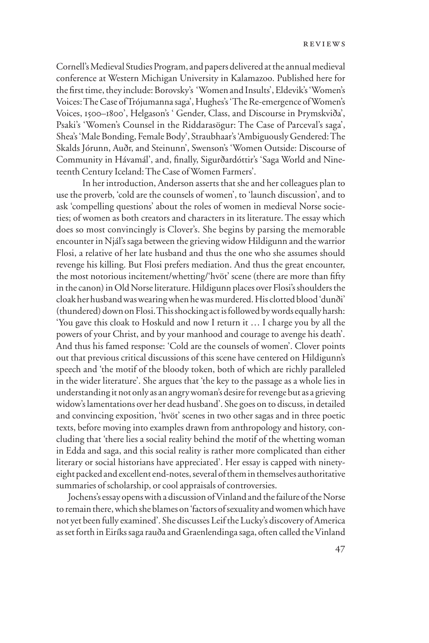Cornell's Medieval Studies Program, and papers delivered at the annual medieval conference at Western Michigan University in Kalamazoo. Published here for the first time, they include: Borovsky's 'Women and Insults', Eldevik's 'Women's Voices: The Case of Trójumanna saga', Hughes's 'The Re-emergence of Women's Voices, 1500–1800', Helgason's ' Gender, Class, and Discourse in Þrymskviða', Psaki's 'Women's Counsel in the Riddarasögur: The Case of Parceval's saga', Shea's 'Male Bonding, Female Body', Straubhaar's 'Ambiguously Gendered: The Skalds Jórunn, Auðr, and Steinunn', Swenson's 'Women Outside: Discourse of Community in Hávamál', and, finally, Sigurðardóttir's 'Saga World and Nineteenth Century Iceland: The Case of Women Farmers'.

In her introduction, Anderson asserts that she and her colleagues plan to use the proverb, 'cold are the counsels of women', to 'launch discussion', and to ask 'compelling questions' about the roles of women in medieval Norse societies; of women as both creators and characters in its literature. The essay which does so most convincingly is Clover's. She begins by parsing the memorable encounter in Njál's saga between the grieving widow Hildigunn and the warrior Flosi, a relative of her late husband and thus the one who she assumes should revenge his killing. But Flosi prefers mediation. And thus the great encounter, the most notorious incitement/whetting/'hvöt' scene (there are more than fifty in the canon) in Old Norse literature. Hildigunn places over Flosi's shoulders the cloak her husband was wearing when he was murdered. His clotted blood 'dunði' (thundered) down on Flosi. This shocking act is followed by words equally harsh: 'You gave this cloak to Hoskuld and now I return it … I charge you by all the powers of your Christ, and by your manhood and courage to avenge his death'. And thus his famed response: 'Cold are the counsels of women'. Clover points out that previous critical discussions of this scene have centered on Hildigunn's speech and 'the motif of the bloody token, both of which are richly paralleled in the wider literature'. She argues that 'the key to the passage as a whole lies in understanding it not only as an angry woman's desire for revenge but as a grieving widow's lamentations over her dead husband'. She goes on to discuss, in detailed and convincing exposition, 'hvöt' scenes in two other sagas and in three poetic texts, before moving into examples drawn from anthropology and history, concluding that 'there lies a social reality behind the motif of the whetting woman in Edda and saga, and this social reality is rather more complicated than either literary or social historians have appreciated'. Her essay is capped with ninetyeight packed and excellent end-notes, several of them in themselves authoritative summaries of scholarship, or cool appraisals of controversies.

Jochens's essay opens with a discussion of Vinland and the failure of the Norse to remain there, which she blames on 'factors of sexuality and women which have not yet been fully examined'. She discusses Leif the Lucky's discovery of America as set forth in Eiríks saga rauða and Graenlendinga saga, often called the Vinland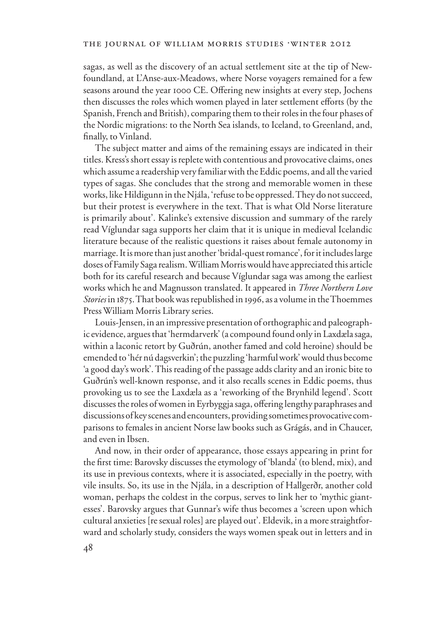sagas, as well as the discovery of an actual settlement site at the tip of Newfoundland, at L'Anse-aux-Meadows, where Norse voyagers remained for a few seasons around the year 1000 CE. Offering new insights at every step, Jochens then discusses the roles which women played in later settlement efforts (by the Spanish, French and British), comparing them to their roles in the four phases of the Nordic migrations: to the North Sea islands, to Iceland, to Greenland, and, finally, to Vinland.

The subject matter and aims of the remaining essays are indicated in their titles. Kress's short essay is replete with contentious and provocative claims, ones which assume a readership very familiar with the Eddic poems, and all the varied types of sagas. She concludes that the strong and memorable women in these works, like Hildigunn in the Njála, 'refuse to be oppressed. They do not succeed, but their protest is everywhere in the text. That is what Old Norse literature is primarily about'. Kalinke's extensive discussion and summary of the rarely read Víglundar saga supports her claim that it is unique in medieval Icelandic literature because of the realistic questions it raises about female autonomy in marriage. It is more than just another 'bridal-quest romance', for it includes large doses of Family Saga realism. William Morris would have appreciated this article both for its careful research and because Víglundar saga was among the earliest works which he and Magnusson translated. It appeared in *Three Northern Love Stories* in 1875. That book was republished in 1996, as a volume in the Thoemmes Press William Morris Library series.

Louis-Jensen, in an impressive presentation of orthographic and paleographic evidence, argues that 'hermdarverk' (a compound found only in Laxdæla saga, within a laconic retort by Guðrún, another famed and cold heroine) should be emended to 'hér nú dagsverkin'; the puzzling 'harmful work' would thus become 'a good day's work'. This reading of the passage adds clarity and an ironic bite to Guðrún's well-known response, and it also recalls scenes in Eddic poems, thus provoking us to see the Laxdæla as a 'reworking of the Brynhild legend'. Scott discusses the roles of women in Eyrbyggja saga, offering lengthy paraphrases and discussions of key scenes and encounters, providing sometimes provocative comparisons to females in ancient Norse law books such as Grágás, and in Chaucer, and even in Ibsen.

And now, in their order of appearance, those essays appearing in print for the first time: Barovsky discusses the etymology of 'blanda' (to blend, mix), and its use in previous contexts, where it is associated, especially in the poetry, with vile insults. So, its use in the Njála, in a description of Hallgerðr, another cold woman, perhaps the coldest in the corpus, serves to link her to 'mythic giantesses'. Barovsky argues that Gunnar's wife thus becomes a 'screen upon which cultural anxieties [re sexual roles] are played out'. Eldevik, in a more straightforward and scholarly study, considers the ways women speak out in letters and in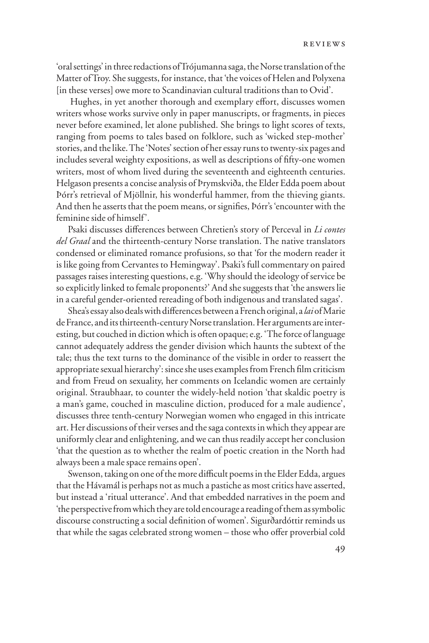'oral settings' in three redactions of Trójumanna saga, the Norse translation of the Matter of Troy. She suggests, for instance, that 'the voices of Helen and Polyxena [in these verses] owe more to Scandinavian cultural traditions than to Ovid'.

Hughes, in yet another thorough and exemplary effort, discusses women writers whose works survive only in paper manuscripts, or fragments, in pieces never before examined, let alone published. She brings to light scores of texts, ranging from poems to tales based on folklore, such as 'wicked step-mother' stories, and the like. The 'Notes' section of her essay runs to twenty-six pages and includes several weighty expositions, as well as descriptions of fifty-one women writers, most of whom lived during the seventeenth and eighteenth centuries. Helgason presents a concise analysis of Þrymskviða, the Elder Edda poem about Þórr's retrieval of Mjöllnir, his wonderful hammer, from the thieving giants. And then he asserts that the poem means, or signifies, Þórr's 'encounter with the feminine side of himself'.

Psaki discusses differences between Chretien's story of Perceval in *Li contes del Graal* and the thirteenth-century Norse translation. The native translators condensed or eliminated romance profusions, so that 'for the modern reader it is like going from Cervantes to Hemingway'. Psaki's full commentary on paired passages raises interesting questions, e.g. 'Why should the ideology of service be so explicitly linked to female proponents?' And she suggests that 'the answers lie in a careful gender-oriented rereading of both indigenous and translated sagas'.

Shea's essay also deals with differences between a French original, a *lai* of Marie de France, and its thirteenth-century Norse translation. Her arguments are interesting, but couched in diction which is often opaque; e.g. 'The force of language cannot adequately address the gender division which haunts the subtext of the tale; thus the text turns to the dominance of the visible in order to reassert the appropriate sexual hierarchy': since she uses examples from French film criticism and from Freud on sexuality, her comments on Icelandic women are certainly original. Straubhaar, to counter the widely-held notion 'that skaldic poetry is a man's game, couched in masculine diction, produced for a male audience', discusses three tenth-century Norwegian women who engaged in this intricate art. Her discussions of their verses and the saga contexts in which they appear are uniformly clear and enlightening, and we can thus readily accept her conclusion 'that the question as to whether the realm of poetic creation in the North had always been a male space remains open'.

Swenson, taking on one of the more difficult poems in the Elder Edda, argues that the Hávamál is perhaps not as much a pastiche as most critics have asserted, but instead a 'ritual utterance'. And that embedded narratives in the poem and 'the perspective from which they are told encourage a reading of them as symbolic discourse constructing a social definition of women'. Sigurðardóttir reminds us that while the sagas celebrated strong women – those who offer proverbial cold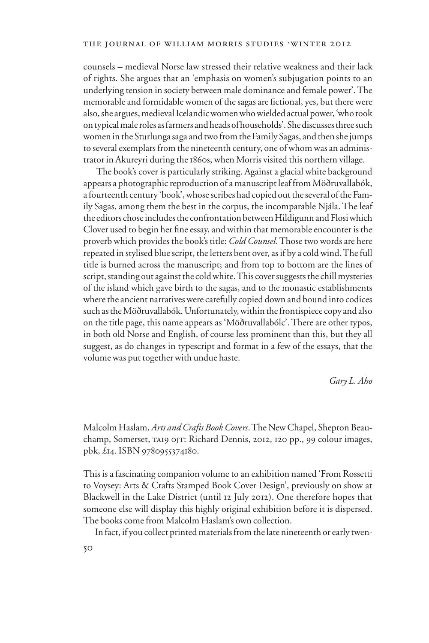counsels – medieval Norse law stressed their relative weakness and their lack of rights. She argues that an 'emphasis on women's subjugation points to an underlying tension in society between male dominance and female power'. The memorable and formidable women of the sagas are fictional, yes, but there were also, she argues, medieval Icelandic women who wielded actual power, 'who took on typical male roles as farmers and heads of households'. She discusses three such women in the Sturlunga saga and two from the Family Sagas, and then she jumps to several exemplars from the nineteenth century, one of whom was an administrator in Akureyri during the 1860s, when Morris visited this northern village.

 The book's cover is particularly striking. Against a glacial white background appears a photographic reproduction of a manuscript leaf from Möðruvallabók, a fourteenth century 'book', whose scribes had copied out the several of the Family Sagas, among them the best in the corpus, the incomparable Njála. The leaf the editors chose includes the confrontation between Hildigunn and Flosi which Clover used to begin her fine essay, and within that memorable encounter is the proverb which provides the book's title: *Cold Counsel*. Those two words are here repeated in stylised blue script, the letters bent over, as if by a cold wind. The full title is burned across the manuscript; and from top to bottom are the lines of script, standing out against the cold white. This cover suggests the chill mysteries of the island which gave birth to the sagas, and to the monastic establishments where the ancient narratives were carefully copied down and bound into codices such as the Möðruvallabók. Unfortunately, within the frontispiece copy and also on the title page, this name appears as 'Möðruvallabólc'. There are other typos, in both old Norse and English, of course less prominent than this, but they all suggest, as do changes in typescript and format in a few of the essays, that the volume was put together with undue haste.

## *Gary L. Aho*

Malcolm Haslam, *Arts and Crafts Book Covers*. The New Chapel, Shepton Beauchamp, Somerset, ta19 0jt: Richard Dennis, 2012, 120 pp., 99 colour images, pbk, £14. ISBN 9780955374180.

This is a fascinating companion volume to an exhibition named 'From Rossetti to Voysey: Arts & Crafts Stamped Book Cover Design', previously on show at Blackwell in the Lake District (until 12 July 2012). One therefore hopes that someone else will display this highly original exhibition before it is dispersed. The books come from Malcolm Haslam's own collection.

In fact, if you collect printed materials from the late nineteenth or early twen-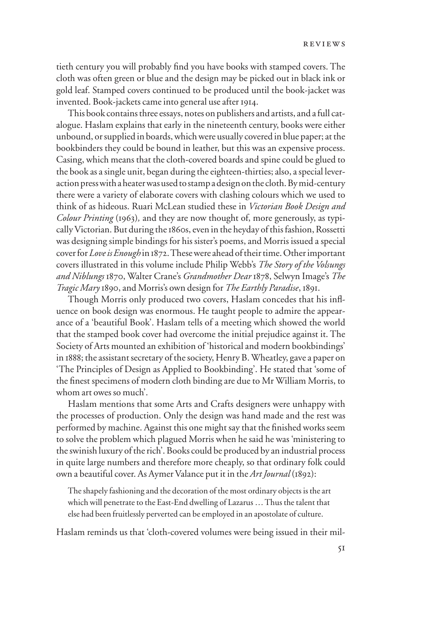tieth century you will probably find you have books with stamped covers. The cloth was often green or blue and the design may be picked out in black ink or gold leaf. Stamped covers continued to be produced until the book-jacket was invented. Book-jackets came into general use after 1914.

This book contains three essays, notes on publishers and artists, and a full catalogue. Haslam explains that early in the nineteenth century, books were either unbound, or supplied in boards, which were usually covered in blue paper; at the bookbinders they could be bound in leather, but this was an expensive process. Casing, which means that the cloth-covered boards and spine could be glued to the book as a single unit, began during the eighteen-thirties; also, a special leveraction press with a heater was used to stamp a design on the cloth. By mid-century there were a variety of elaborate covers with clashing colours which we used to think of as hideous. Ruari McLean studied these in *Victorian Book Design and Colour Printing* (1963)*,* and they are now thought of, more generously, as typically Victorian. But during the 1860s, even in the heyday of this fashion, Rossetti was designing simple bindings for his sister's poems, and Morris issued a special cover for *Love is Enough* in 1872. These were ahead of their time. Other important covers illustrated in this volume include Philip Webb's *The Story of the Volsungs and Niblungs* 1870, Walter Crane's *Grandmother Dear* 1878, Selwyn Image's *The Tragic Mary* 1890, and Morris's own design for *The Earthly Paradise*, 1891.

Though Morris only produced two covers, Haslam concedes that his influence on book design was enormous. He taught people to admire the appearance of a 'beautiful Book'. Haslam tells of a meeting which showed the world that the stamped book cover had overcome the initial prejudice against it. The Society of Arts mounted an exhibition of 'historical and modern bookbindings' in 1888; the assistant secretary of the society, Henry B. Wheatley, gave a paper on 'The Principles of Design as Applied to Bookbinding'. He stated that 'some of the finest specimens of modern cloth binding are due to Mr William Morris, to whom art owes so much'.

Haslam mentions that some Arts and Crafts designers were unhappy with the processes of production. Only the design was hand made and the rest was performed by machine. Against this one might say that the finished works seem to solve the problem which plagued Morris when he said he was 'ministering to the swinish luxury of the rich'. Books could be produced by an industrial process in quite large numbers and therefore more cheaply, so that ordinary folk could own a beautiful cover. As Aymer Valance put it in the *Art Journal* (1892):

The shapely fashioning and the decoration of the most ordinary objects is the art which will penetrate to the East-End dwelling of Lazarus … Thus the talent that else had been fruitlessly perverted can be employed in an apostolate of culture.

Haslam reminds us that 'cloth-covered volumes were being issued in their mil-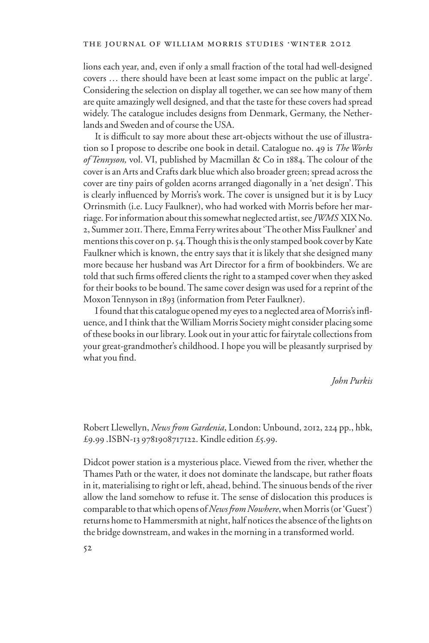lions each year, and, even if only a small fraction of the total had well-designed covers … there should have been at least some impact on the public at large'. Considering the selection on display all together, we can see how many of them are quite amazingly well designed, and that the taste for these covers had spread widely. The catalogue includes designs from Denmark, Germany, the Netherlands and Sweden and of course the USA.

It is difficult to say more about these art-objects without the use of illustration so I propose to describe one book in detail. Catalogue no. 49 is *The Works of Tennyson,* vol. VI, published by Macmillan & Co in 1884. The colour of the cover is an Arts and Crafts dark blue which also broader green; spread across the cover are tiny pairs of golden acorns arranged diagonally in a 'net design'. This is clearly influenced by Morris's work. The cover is unsigned but it is by Lucy Orrinsmith (i.e. Lucy Faulkner), who had worked with Morris before her marriage. For information about this somewhat neglected artist, see *JWMS* XIX No. 2, Summer 2011. There, Emma Ferry writes about 'The other Miss Faulkner' and mentions this cover on p. 54. Though this is the only stamped book cover by Kate Faulkner which is known, the entry says that it is likely that she designed many more because her husband was Art Director for a firm of bookbinders. We are told that such firms offered clients the right to a stamped cover when they asked for their books to be bound. The same cover design was used for a reprint of the Moxon Tennyson in 1893 (information from Peter Faulkner).

I found that this catalogue opened my eyes to a neglected area of Morris's influence, and I think that the William Morris Society might consider placing some of these books in our library. Look out in your attic for fairytale collections from your great-grandmother's childhood. I hope you will be pleasantly surprised by what you find.

*John Purkis*

Robert Llewellyn, *News from Gardenia*, London: Unbound, 2012, 224 pp., hbk, £9.99 .ISBN-13 9781908717122. Kindle edition £5.99.

Didcot power station is a mysterious place. Viewed from the river, whether the Thames Path or the water, it does not dominate the landscape, but rather floats in it, materialising to right or left, ahead, behind. The sinuous bends of the river allow the land somehow to refuse it. The sense of dislocation this produces is comparable to that which opens of *News from Nowhere*, when Morris (or 'Guest') returns home to Hammersmith at night, half notices the absence of the lights on the bridge downstream, and wakes in the morning in a transformed world.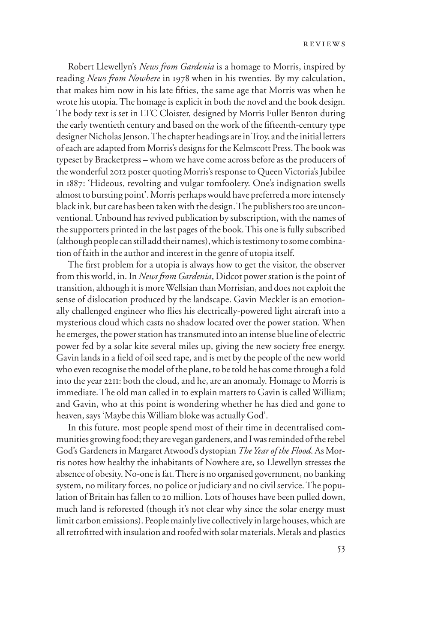Robert Llewellyn's *News from Gardenia* is a homage to Morris, inspired by reading *News from Nowhere* in 1978 when in his twenties. By my calculation, that makes him now in his late fifties, the same age that Morris was when he wrote his utopia. The homage is explicit in both the novel and the book design. The body text is set in LTC Cloister, designed by Morris Fuller Benton during the early twentieth century and based on the work of the fifteenth-century type designer Nicholas Jenson. The chapter headings are in Troy, and the initial letters of each are adapted from Morris's designs for the Kelmscott Press. The book was typeset by Bracketpress – whom we have come across before as the producers of the wonderful 2012 poster quoting Morris's response to Queen Victoria's Jubilee in 1887: 'Hideous, revolting and vulgar tomfoolery. One's indignation swells almost to bursting point'. Morris perhaps would have preferred a more intensely black ink, but care has been taken with the design. The publishers too are unconventional. Unbound has revived publication by subscription, with the names of the supporters printed in the last pages of the book. This one is fully subscribed (although people can still add their names), which is testimony to some combination of faith in the author and interest in the genre of utopia itself.

The first problem for a utopia is always how to get the visitor, the observer from this world, in. In *News from Gardenia*, Didcot power station is the point of transition, although it is more Wellsian than Morrisian, and does not exploit the sense of dislocation produced by the landscape. Gavin Meckler is an emotionally challenged engineer who flies his electrically-powered light aircraft into a mysterious cloud which casts no shadow located over the power station. When he emerges, the power station has transmuted into an intense blue line of electric power fed by a solar kite several miles up, giving the new society free energy. Gavin lands in a field of oil seed rape, and is met by the people of the new world who even recognise the model of the plane, to be told he has come through a fold into the year 2211: both the cloud, and he, are an anomaly. Homage to Morris is immediate. The old man called in to explain matters to Gavin is called William; and Gavin, who at this point is wondering whether he has died and gone to heaven, says 'Maybe this William bloke was actually God'.

In this future, most people spend most of their time in decentralised communities growing food; they are vegan gardeners, and I was reminded of the rebel God's Gardeners in Margaret Atwood's dystopian *The Year of the Flood*. As Morris notes how healthy the inhabitants of Nowhere are, so Llewellyn stresses the absence of obesity. No-one is fat. There is no organised government, no banking system, no military forces, no police or judiciary and no civil service. The population of Britain has fallen to 20 million. Lots of houses have been pulled down, much land is reforested (though it's not clear why since the solar energy must limit carbon emissions). People mainly live collectively in large houses, which are all retrofitted with insulation and roofed with solar materials. Metals and plastics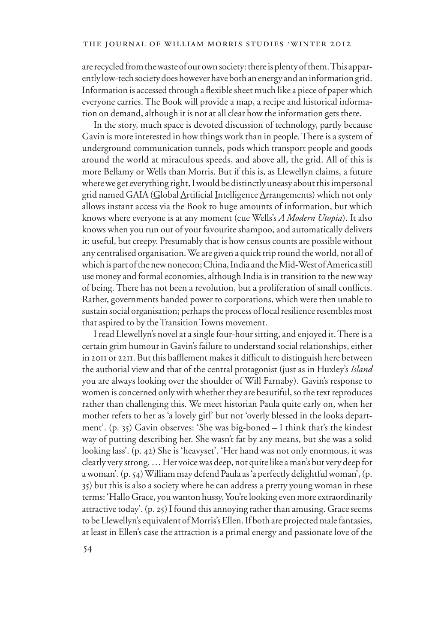are recycled from the waste of our own society: there is plenty of them. This apparently low-tech society does however have both an energy and an information grid. Information is accessed through a flexible sheet much like a piece of paper which everyone carries. The Book will provide a map, a recipe and historical information on demand, although it is not at all clear how the information gets there.

In the story, much space is devoted discussion of technology, partly because Gavin is more interested in how things work than in people. There is a system of underground communication tunnels, pods which transport people and goods around the world at miraculous speeds, and above all, the grid. All of this is more Bellamy or Wells than Morris. But if this is, as Llewellyn claims, a future where we get everything right, I would be distinctly uneasy about this impersonal grid named GAIA (Global Artificial Intelligence Arrangements) which not only allows instant access via the Book to huge amounts of information, but which knows where everyone is at any moment (cue Wells's *A Modern Utopia*). It also knows when you run out of your favourite shampoo, and automatically delivers it: useful, but creepy. Presumably that is how census counts are possible without any centralised organisation. We are given a quick trip round the world, not all of which is part of the new nonecon; China, India and the Mid-West of America still use money and formal economies, although India is in transition to the new way of being. There has not been a revolution, but a proliferation of small conflicts. Rather, governments handed power to corporations, which were then unable to sustain social organisation; perhaps the process of local resilience resembles most that aspired to by the Transition Towns movement.

I read Llewellyn's novel at a single four-hour sitting, and enjoyed it. There is a certain grim humour in Gavin's failure to understand social relationships, either in 2011 or 2211. But this bafflement makes it difficult to distinguish here between the authorial view and that of the central protagonist (just as in Huxley's *Island* you are always looking over the shoulder of Will Farnaby). Gavin's response to women is concerned only with whether they are beautiful, so the text reproduces rather than challenging this. We meet historian Paula quite early on, when her mother refers to her as 'a lovely girl' but not 'overly blessed in the looks department'. (p. 35) Gavin observes: 'She was big-boned – I think that's the kindest way of putting describing her. She wasn't fat by any means, but she was a solid looking lass'. (p. 42) She is 'heavyset'. 'Her hand was not only enormous, it was clearly very strong. … Her voice was deep, not quite like a man's but very deep for a woman'. (p. 54) William may defend Paula as 'a perfectly delightful woman', (p. 35) but this is also a society where he can address a pretty young woman in these terms: 'Hallo Grace, you wanton hussy. You're looking even more extraordinarily attractive today'. (p. 25) I found this annoying rather than amusing. Grace seems to be Llewellyn's equivalent of Morris's Ellen. If both are projected male fantasies, at least in Ellen's case the attraction is a primal energy and passionate love of the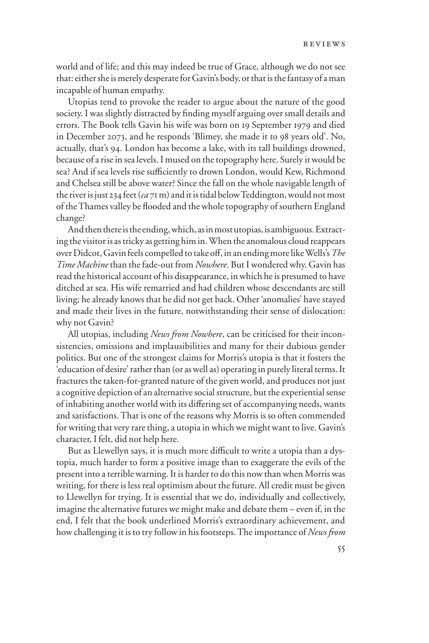world and of life; and this may indeed be true of Grace, although we do not see that: either she is merely desperate for Gavin's body, or that is the fantasy of a man incapable of human empathy.

Utopias tend to provoke the reader to argue about the nature of the good society. I was slightly distracted by finding myself arguing over small details and errors. The Book tells Gavin his wife was born on 19 September 1979 and died in December 2073, and he responds 'Blimey, she made it to 98 years old'. No, actually, that's 94. London has become a lake, with its tall buildings drowned, because of a rise in sea levels. I mused on the topography here. Surely it would be sea? And if sea levels rise sufficiently to drown London, would Kew, Richmond and Chelsea still be above water? Since the fall on the whole navigable length of the river is just 234 feet (*ca* 71 m) and it is tidal below Teddington, would not most of the Thames valley be flooded and the whole topography of southern England change?

And then there is the ending, which, as in most utopias, is ambiguous. Extracting the visitor is as tricky as getting him in. When the anomalous cloud reappears over Didcot, Gavin feels compelled to take off, in an ending more like Wells's The *Time Machine* than the fade-out from *Nowhere*. But I wondered why. Gavin has read the historical account of his disappearance, in which he is presumed to have ditched at sea. His wife remarried and had children whose descendants are still living; he already knows that he did not get back. Other 'anomalies' have stayed and made their lives in the future, notwithstanding their sense of dislocation: why not Gavin?

All utopias, including *News from Nowhere*, can be criticised for their inconsistencies, omissions and implausibilities and many for their dubious gender politics. But one of the strongest claims for Morris's utopia is that it fosters the 'education of desire' rather than (or as well as) operating in purely literal terms. It fractures the taken-for-granted nature of the given world, and produces not just a cognitive depiction of an alternative social structure, but the experiential sense of inhabiting another world with its differing set of accompanying needs, wants and satisfactions. That is one of the reasons why Morris is so often commended for writing that very rare thing, a utopia in which we might want to live. Gavin's character, I felt, did not help here.

But as Llewellyn says, it is much more difficult to write a utopia than a dystopia, much harder to form a positive image than to exaggerate the evils of the present into a terrible warning. It is harder to do this now than when Morris was writing, for there is less real optimism about the future. All credit must be given to Llewellyn for trying. It is essential that we do, individually and collectively, imagine the alternative futures we might make and debate them – even if, in the end, I felt that the book underlined Morris's extraordinary achievement, and how challenging it is to try follow in his footsteps. The importance of *News from*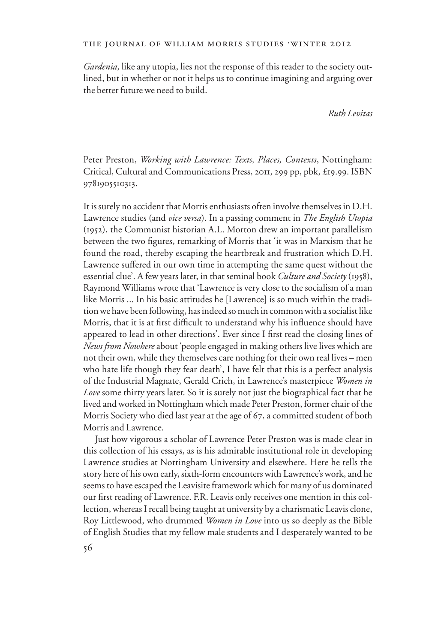## THE JOURNAL OF WILLIAM MORRIS STUDIES .WINTER 2012

*Gardenia*, like any utopia, lies not the response of this reader to the society outlined, but in whether or not it helps us to continue imagining and arguing over the better future we need to build.

*Ruth Levitas*

Peter Preston, *Working with Lawrence: Texts, Places, Contexts*, Nottingham: Critical, Cultural and Communications Press, 2011, 299 pp, pbk, £19.99. ISBN 9781905510313.

It is surely no accident that Morris enthusiasts often involve themselves in D.H. Lawrence studies (and *vice versa*). In a passing comment in *The English Utopia* (1952), the Communist historian A.L. Morton drew an important parallelism between the two figures, remarking of Morris that 'it was in Marxism that he found the road, thereby escaping the heartbreak and frustration which D.H. Lawrence suffered in our own time in attempting the same quest without the essential clue'. A few years later, in that seminal book *Culture and Society* (1958), Raymond Williams wrote that 'Lawrence is very close to the socialism of a man like Morris ... In his basic attitudes he [Lawrence] is so much within the tradition we have been following, has indeed so much in common with a socialist like Morris, that it is at first difficult to understand why his influence should have appeared to lead in other directions'. Ever since I first read the closing lines of *News from Nowhere* about 'people engaged in making others live lives which are not their own, while they themselves care nothing for their own real lives – men who hate life though they fear death', I have felt that this is a perfect analysis of the Industrial Magnate, Gerald Crich, in Lawrence's masterpiece *Women in Love* some thirty years later. So it is surely not just the biographical fact that he lived and worked in Nottingham which made Peter Preston, former chair of the Morris Society who died last year at the age of 67, a committed student of both Morris and Lawrence.

Just how vigorous a scholar of Lawrence Peter Preston was is made clear in this collection of his essays, as is his admirable institutional role in developing Lawrence studies at Nottingham University and elsewhere. Here he tells the story here of his own early, sixth-form encounters with Lawrence's work, and he seems to have escaped the Leavisite framework which for many of us dominated our first reading of Lawrence. F.R. Leavis only receives one mention in this collection, whereas I recall being taught at university by a charismatic Leavis clone, Roy Littlewood, who drummed *Women in Love* into us so deeply as the Bible of English Studies that my fellow male students and I desperately wanted to be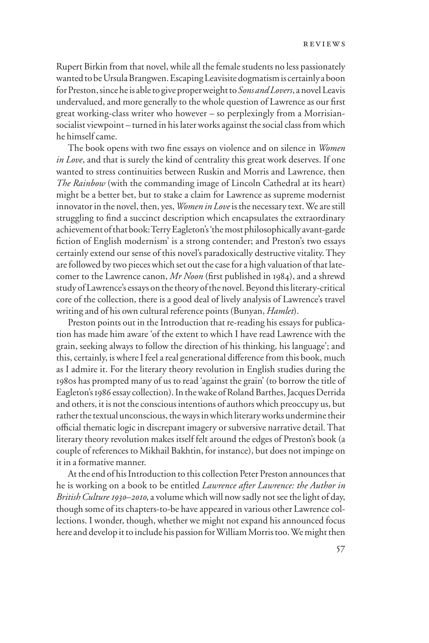Rupert Birkin from that novel, while all the female students no less passionately wanted to be Ursula Brangwen. Escaping Leavisite dogmatism is certainly a boon for Preston, since he is able to give proper weight to *Sons and Lovers*, a novel Leavis undervalued, and more generally to the whole question of Lawrence as our first great working-class writer who however – so perplexingly from a Morrisiansocialist viewpoint – turned in his later works against the social class from which he himself came.

The book opens with two fine essays on violence and on silence in *Women in Love*, and that is surely the kind of centrality this great work deserves. If one wanted to stress continuities between Ruskin and Morris and Lawrence, then *The Rainbow* (with the commanding image of Lincoln Cathedral at its heart) might be a better bet, but to stake a claim for Lawrence as supreme modernist innovator in the novel, then, yes, *Women in Love* is the necessary text. We are still struggling to find a succinct description which encapsulates the extraordinary achievement of that book: Terry Eagleton's 'the most philosophically avant-garde fiction of English modernism' is a strong contender; and Preston's two essays certainly extend our sense of this novel's paradoxically destructive vitality. They are followed by two pieces which set out the case for a high valuation of that latecomer to the Lawrence canon, *Mr Noon* (first published in 1984), and a shrewd study of Lawrence's essays on the theory of the novel. Beyond this literary-critical core of the collection, there is a good deal of lively analysis of Lawrence's travel writing and of his own cultural reference points (Bunyan, *Hamlet*).

Preston points out in the Introduction that re-reading his essays for publication has made him aware 'of the extent to which I have read Lawrence with the grain, seeking always to follow the direction of his thinking, his language'; and this, certainly, is where I feel a real generational difference from this book, much as I admire it. For the literary theory revolution in English studies during the 1980s has prompted many of us to read 'against the grain' (to borrow the title of Eagleton's 1986 essay collection). In the wake of Roland Barthes, Jacques Derrida and others, it is not the conscious intentions of authors which preoccupy us, but rather the textual unconscious, the ways in which literary works undermine their official thematic logic in discrepant imagery or subversive narrative detail. That literary theory revolution makes itself felt around the edges of Preston's book (a couple of references to Mikhail Bakhtin, for instance), but does not impinge on it in a formative manner.

At the end of his Introduction to this collection Peter Preston announces that he is working on a book to be entitled *Lawrence after Lawrence: the Author in British Culture 1930–2010*, a volume which will now sadly not see the light of day, though some of its chapters-to-be have appeared in various other Lawrence collections. I wonder, though, whether we might not expand his announced focus here and develop it to include his passion for William Morris too. We might then